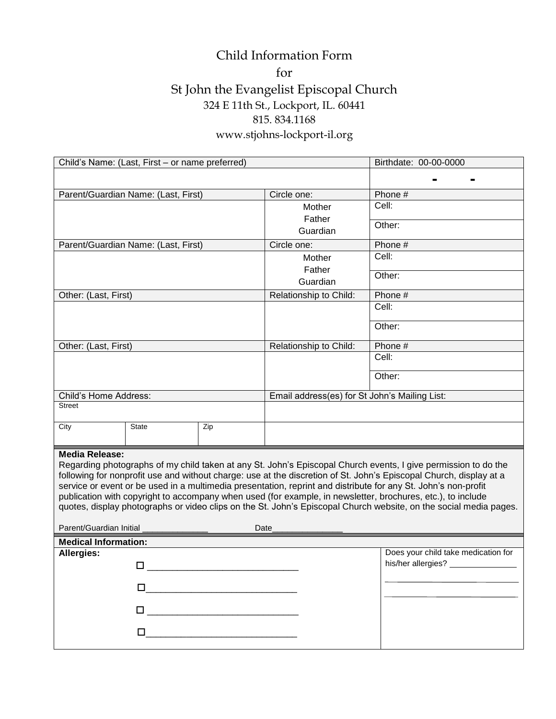## Child Information Form for St John the Evangelist Episcopal Church 324 E 11th St., Lockport, IL. 60441 815. 834.1168 www.stjohns-lockport-il.org

| Child's Name: (Last, First - or name preferred)                                                                                                                                                                                                                                                                                                                                                                                                                                                                                                                                                                                                        |              |     |                                               | Birthdate: 00-00-0000                                                       |  |  |
|--------------------------------------------------------------------------------------------------------------------------------------------------------------------------------------------------------------------------------------------------------------------------------------------------------------------------------------------------------------------------------------------------------------------------------------------------------------------------------------------------------------------------------------------------------------------------------------------------------------------------------------------------------|--------------|-----|-----------------------------------------------|-----------------------------------------------------------------------------|--|--|
|                                                                                                                                                                                                                                                                                                                                                                                                                                                                                                                                                                                                                                                        |              |     |                                               |                                                                             |  |  |
|                                                                                                                                                                                                                                                                                                                                                                                                                                                                                                                                                                                                                                                        |              |     | Circle one:                                   | Phone #                                                                     |  |  |
| Parent/Guardian Name: (Last, First)                                                                                                                                                                                                                                                                                                                                                                                                                                                                                                                                                                                                                    |              |     | Mother                                        | Cell:                                                                       |  |  |
|                                                                                                                                                                                                                                                                                                                                                                                                                                                                                                                                                                                                                                                        |              |     | Father<br>Guardian                            |                                                                             |  |  |
|                                                                                                                                                                                                                                                                                                                                                                                                                                                                                                                                                                                                                                                        |              |     |                                               | Other:                                                                      |  |  |
| Parent/Guardian Name: (Last, First)                                                                                                                                                                                                                                                                                                                                                                                                                                                                                                                                                                                                                    |              |     | Circle one:                                   | Phone #                                                                     |  |  |
|                                                                                                                                                                                                                                                                                                                                                                                                                                                                                                                                                                                                                                                        |              |     | Mother<br>Father<br>Guardian                  | Cell:                                                                       |  |  |
|                                                                                                                                                                                                                                                                                                                                                                                                                                                                                                                                                                                                                                                        |              |     |                                               | Other:                                                                      |  |  |
| Other: (Last, First)                                                                                                                                                                                                                                                                                                                                                                                                                                                                                                                                                                                                                                   |              |     | Relationship to Child:                        | Phone #                                                                     |  |  |
|                                                                                                                                                                                                                                                                                                                                                                                                                                                                                                                                                                                                                                                        |              |     |                                               | Cell:                                                                       |  |  |
|                                                                                                                                                                                                                                                                                                                                                                                                                                                                                                                                                                                                                                                        |              |     |                                               | Other:                                                                      |  |  |
| Other: (Last, First)                                                                                                                                                                                                                                                                                                                                                                                                                                                                                                                                                                                                                                   |              |     | Relationship to Child:                        | Phone #                                                                     |  |  |
|                                                                                                                                                                                                                                                                                                                                                                                                                                                                                                                                                                                                                                                        |              |     |                                               | Cell:                                                                       |  |  |
|                                                                                                                                                                                                                                                                                                                                                                                                                                                                                                                                                                                                                                                        |              |     |                                               |                                                                             |  |  |
|                                                                                                                                                                                                                                                                                                                                                                                                                                                                                                                                                                                                                                                        |              |     |                                               | Other:                                                                      |  |  |
| Child's Home Address:                                                                                                                                                                                                                                                                                                                                                                                                                                                                                                                                                                                                                                  |              |     | Email address(es) for St John's Mailing List: |                                                                             |  |  |
| <b>Street</b>                                                                                                                                                                                                                                                                                                                                                                                                                                                                                                                                                                                                                                          |              |     |                                               |                                                                             |  |  |
| City                                                                                                                                                                                                                                                                                                                                                                                                                                                                                                                                                                                                                                                   | <b>State</b> | Zip |                                               |                                                                             |  |  |
| <b>Media Release:</b><br>Regarding photographs of my child taken at any St. John's Episcopal Church events, I give permission to do the<br>following for nonprofit use and without charge: use at the discretion of St. John's Episcopal Church, display at a<br>service or event or be used in a multimedia presentation, reprint and distribute for any St. John's non-profit<br>publication with copyright to accompany when used (for example, in newsletter, brochures, etc.), to include<br>quotes, display photographs or video clips on the St. John's Episcopal Church website, on the social media pages.<br>Parent/Guardian Initial<br>Date |              |     |                                               |                                                                             |  |  |
| <b>Medical Information:</b>                                                                                                                                                                                                                                                                                                                                                                                                                                                                                                                                                                                                                            |              |     |                                               |                                                                             |  |  |
| Allergies:                                                                                                                                                                                                                                                                                                                                                                                                                                                                                                                                                                                                                                             |              |     |                                               | Does your child take medication for<br>his/her allergies? _________________ |  |  |
| □                                                                                                                                                                                                                                                                                                                                                                                                                                                                                                                                                                                                                                                      |              |     |                                               |                                                                             |  |  |
| □                                                                                                                                                                                                                                                                                                                                                                                                                                                                                                                                                                                                                                                      |              |     |                                               |                                                                             |  |  |
| $\Box$ , and a set of the set of the set of the set of the set of the set of the set of the set of the set of the set of the set of the set of the set of the set of the set of the set of the set of the set of the set of the                                                                                                                                                                                                                                                                                                                                                                                                                        |              |     |                                               |                                                                             |  |  |
| 0.                                                                                                                                                                                                                                                                                                                                                                                                                                                                                                                                                                                                                                                     |              |     |                                               |                                                                             |  |  |
|                                                                                                                                                                                                                                                                                                                                                                                                                                                                                                                                                                                                                                                        |              |     |                                               |                                                                             |  |  |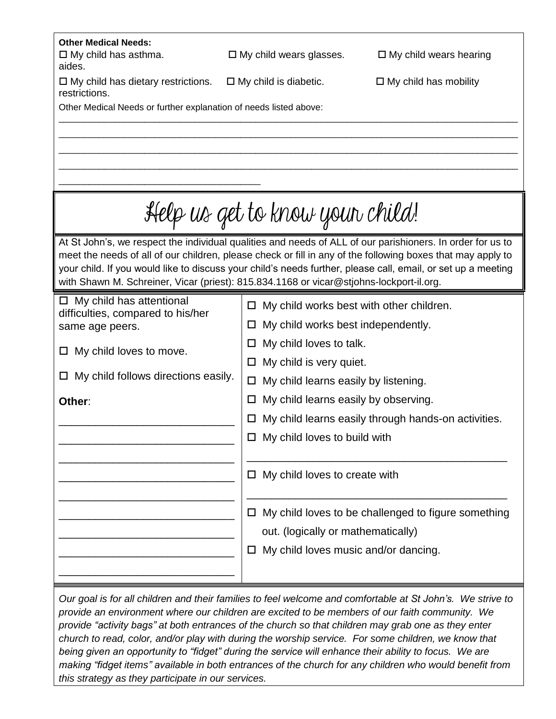| <b>Other Medical Needs:</b><br>$\Box$ My child has asthma.                                                                                                                                                                  | $\Box$ My child wears glasses.                | $\Box$ My child wears hearing                       |  |  |  |  |
|-----------------------------------------------------------------------------------------------------------------------------------------------------------------------------------------------------------------------------|-----------------------------------------------|-----------------------------------------------------|--|--|--|--|
| aides.                                                                                                                                                                                                                      |                                               |                                                     |  |  |  |  |
| $\Box$ My child has dietary restrictions.<br>restrictions.                                                                                                                                                                  | $\Box$ My child is diabetic.                  | $\Box$ My child has mobility                        |  |  |  |  |
| Other Medical Needs or further explanation of needs listed above:                                                                                                                                                           |                                               |                                                     |  |  |  |  |
|                                                                                                                                                                                                                             |                                               |                                                     |  |  |  |  |
|                                                                                                                                                                                                                             |                                               |                                                     |  |  |  |  |
|                                                                                                                                                                                                                             |                                               |                                                     |  |  |  |  |
|                                                                                                                                                                                                                             |                                               |                                                     |  |  |  |  |
|                                                                                                                                                                                                                             |                                               |                                                     |  |  |  |  |
|                                                                                                                                                                                                                             | Help us get to know your child!               |                                                     |  |  |  |  |
| At St John's, we respect the individual qualities and needs of ALL of our parishioners. In order for us to                                                                                                                  |                                               |                                                     |  |  |  |  |
| meet the needs of all of our children, please check or fill in any of the following boxes that may apply to<br>your child. If you would like to discuss your child's needs further, please call, email, or set up a meeting |                                               |                                                     |  |  |  |  |
| with Shawn M. Schreiner, Vicar (priest): 815.834.1168 or vicar@stjohns-lockport-il.org.                                                                                                                                     |                                               |                                                     |  |  |  |  |
| $\Box$ My child has attentional                                                                                                                                                                                             |                                               |                                                     |  |  |  |  |
| difficulties, compared to his/her                                                                                                                                                                                           | My child works best with other children.<br>□ |                                                     |  |  |  |  |
| same age peers.                                                                                                                                                                                                             | My child works best independently.<br>ப       |                                                     |  |  |  |  |
| My child loves to move.                                                                                                                                                                                                     | My child loves to talk.<br>ப                  |                                                     |  |  |  |  |
|                                                                                                                                                                                                                             | My child is very quiet.<br>□                  |                                                     |  |  |  |  |
| My child follows directions easily.                                                                                                                                                                                         | My child learns easily by listening.<br>□     |                                                     |  |  |  |  |
| Other:                                                                                                                                                                                                                      | □                                             | My child learns easily by observing.                |  |  |  |  |
|                                                                                                                                                                                                                             |                                               | My child learns easily through hands-on activities. |  |  |  |  |
|                                                                                                                                                                                                                             | $\Box$ My child loves to build with           |                                                     |  |  |  |  |
|                                                                                                                                                                                                                             |                                               |                                                     |  |  |  |  |
|                                                                                                                                                                                                                             | My child loves to create with<br>ப            |                                                     |  |  |  |  |
|                                                                                                                                                                                                                             |                                               |                                                     |  |  |  |  |
|                                                                                                                                                                                                                             | Ц                                             | My child loves to be challenged to figure something |  |  |  |  |
|                                                                                                                                                                                                                             | out. (logically or mathematically)            |                                                     |  |  |  |  |
|                                                                                                                                                                                                                             | My child loves music and/or dancing.<br>Ц     |                                                     |  |  |  |  |
|                                                                                                                                                                                                                             |                                               |                                                     |  |  |  |  |
|                                                                                                                                                                                                                             |                                               |                                                     |  |  |  |  |
| Our goal is for all children and their families to feel welcome and comfortable at St John's. We strive to                                                                                                                  |                                               |                                                     |  |  |  |  |
| provide an environment where our children are excited to be members of our faith community. We                                                                                                                              |                                               |                                                     |  |  |  |  |

*provide an environment where our children are excited to be members of our faith community. We provide "activity bags" at both entrances of the church so that children may grab one as they enter church to read, color, and/or play with during the worship service. For some children, we know that being given an opportunity to "fidget" during the service will enhance their ability to focus. We are making "fidget items" available in both entrances of the church for any children who would benefit from this strategy as they participate in our services.*